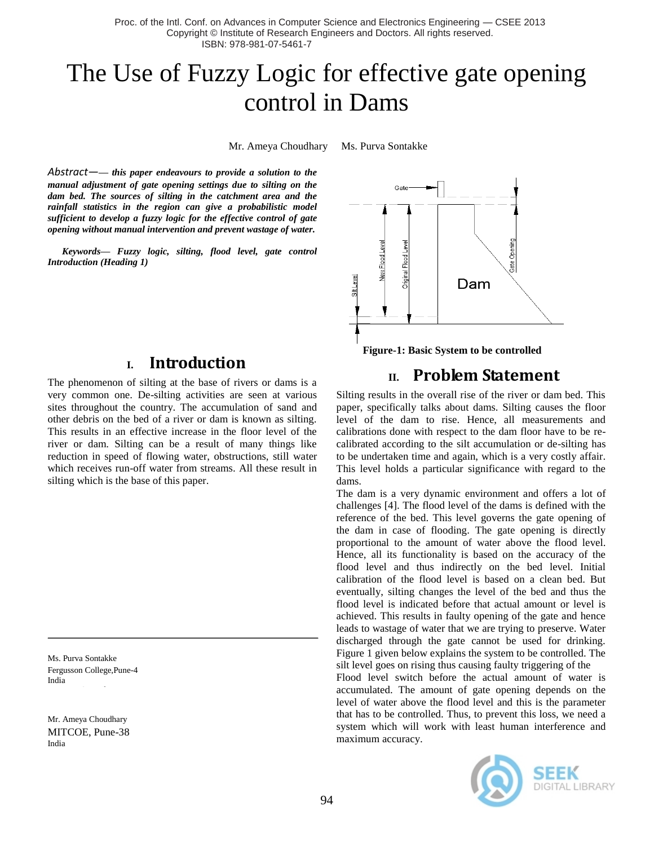Proc. of the Intl. Conf. on Advances in Computer Science and Electronics Engineering — CSEE 2013 Copyright © Institute of Research Engineers and Doctors. All rights reserved. ISBN: 978-981-07-5461-7

# The Use of Fuzzy Logic for effective gate opening control in Dams

Mr. Ameya Choudhary Ms. Purva Sontakke

*Abstract—— this paper endeavours to provide a solution to the manual adjustment of gate opening settings due to silting on the dam bed. The sources of silting in the catchment area and the rainfall statistics in the region can give a probabilistic model sufficient to develop a fuzzy logic for the effective control of gate opening without manual intervention and prevent wastage of water.*

*Keywords— Fuzzy logic, silting, flood level, gate control Introduction (Heading 1)*

### **I. Introduction**

The phenomenon of silting at the base of rivers or dams is a very common one. De-silting activities are seen at various sites throughout the country. The accumulation of sand and other debris on the bed of a river or dam is known as silting. This results in an effective increase in the floor level of the river or dam. Silting can be a result of many things like reduction in speed of flowing water, obstructions, still water which receives run-off water from streams. All these result in silting which is the base of this paper.

Ms. Purva Sontakke Fergusson College,Pune-4 India

Mr. Ameya Choudhary MITCOE, Pune-38 India



 **Figure-1: Basic System to be controlled**

# **II. Problem Statement**

Silting results in the overall rise of the river or dam bed. This paper, specifically talks about dams. Silting causes the floor level of the dam to rise. Hence, all measurements and calibrations done with respect to the dam floor have to be recalibrated according to the silt accumulation or de-silting has to be undertaken time and again, which is a very costly affair. This level holds a particular significance with regard to the dams.

The dam is a very dynamic environment and offers a lot of challenges [4]. The flood level of the dams is defined with the reference of the bed. This level governs the gate opening of the dam in case of flooding. The gate opening is directly proportional to the amount of water above the flood level. Hence, all its functionality is based on the accuracy of the flood level and thus indirectly on the bed level. Initial calibration of the flood level is based on a clean bed. But eventually, silting changes the level of the bed and thus the flood level is indicated before that actual amount or level is achieved. This results in faulty opening of the gate and hence leads to wastage of water that we are trying to preserve. Water discharged through the gate cannot be used for drinking. Figure 1 given below explains the system to be controlled. The silt level goes on rising thus causing faulty triggering of the

Flood level switch before the actual amount of water is accumulated. The amount of gate opening depends on the level of water above the flood level and this is the parameter that has to be controlled. Thus, to prevent this loss, we need a system which will work with least human interference and maximum accuracy.

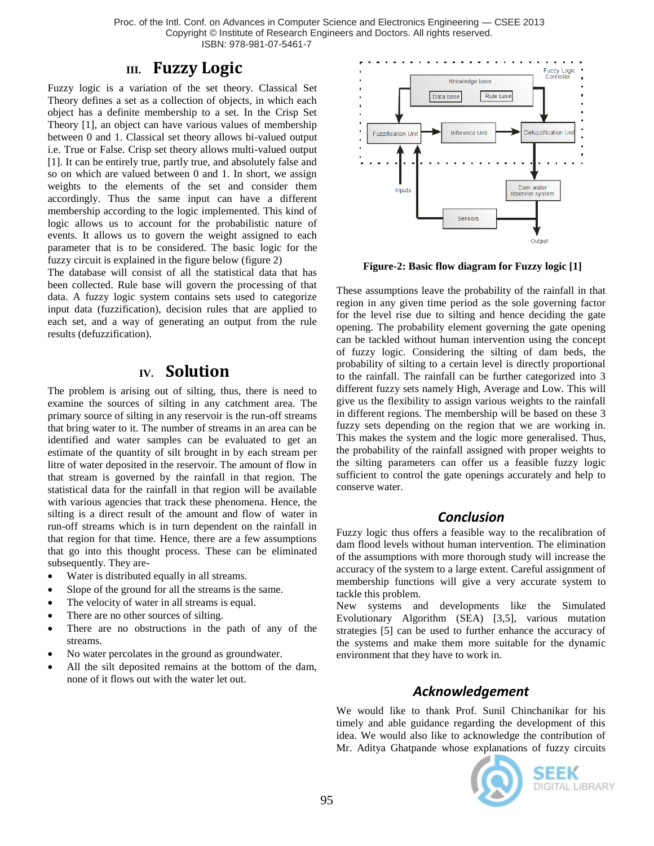Proc. of the Intl. Conf. on Advances in Computer Science and Electronics Engineering — CSEE 2013 Copyright © Institute of Research Engineers and Doctors. All rights reserved. ISBN: 978-981-07-5461-7

# **III. Fuzzy Logic**

Fuzzy logic is a variation of the set theory. Classical Set Theory defines a set as a collection of objects, in which each object has a definite membership to a set. In the Crisp Set Theory [1], an object can have various values of membership between 0 and 1. Classical set theory allows bi-valued output i.e. True or False. Crisp set theory allows multi-valued output [1]. It can be entirely true, partly true, and absolutely false and so on which are valued between 0 and 1. In short, we assign weights to the elements of the set and consider them accordingly. Thus the same input can have a different membership according to the logic implemented. This kind of logic allows us to account for the probabilistic nature of events. It allows us to govern the weight assigned to each parameter that is to be considered. The basic logic for the fuzzy circuit is explained in the figure below (figure 2)

The database will consist of all the statistical data that has been collected. Rule base will govern the processing of that data. A fuzzy logic system contains sets used to categorize input data (fuzzification), decision rules that are applied to each set, and a way of generating an output from the rule results (defuzzification).

# **IV. Solution**

The problem is arising out of silting, thus, there is need to examine the sources of silting in any catchment area. The primary source of silting in any reservoir is the run-off streams that bring water to it. The number of streams in an area can be identified and water samples can be evaluated to get an estimate of the quantity of silt brought in by each stream per litre of water deposited in the reservoir. The amount of flow in that stream is governed by the rainfall in that region. The statistical data for the rainfall in that region will be available with various agencies that track these phenomena. Hence, the silting is a direct result of the amount and flow of water in run-off streams which is in turn dependent on the rainfall in that region for that time. Hence, there are a few assumptions that go into this thought process. These can be eliminated subsequently. They are-

- Water is distributed equally in all streams.
- Slope of the ground for all the streams is the same.
- The velocity of water in all streams is equal.
- There are no other sources of silting.
- There are no obstructions in the path of any of the streams.
- No water percolates in the ground as groundwater.
- All the silt deposited remains at the bottom of the dam, none of it flows out with the water let out.



 **Figure-2: Basic flow diagram for Fuzzy logic [1]**

These assumptions leave the probability of the rainfall in that region in any given time period as the sole governing factor for the level rise due to silting and hence deciding the gate opening. The probability element governing the gate opening can be tackled without human intervention using the concept of fuzzy logic. Considering the silting of dam beds, the probability of silting to a certain level is directly proportional to the rainfall. The rainfall can be further categorized into 3 different fuzzy sets namely High, Average and Low. This will give us the flexibility to assign various weights to the rainfall in different regions. The membership will be based on these 3 fuzzy sets depending on the region that we are working in. This makes the system and the logic more generalised. Thus, the probability of the rainfall assigned with proper weights to the silting parameters can offer us a feasible fuzzy logic sufficient to control the gate openings accurately and help to conserve water.

#### *Conclusion*

Fuzzy logic thus offers a feasible way to the recalibration of dam flood levels without human intervention. The elimination of the assumptions with more thorough study will increase the accuracy of the system to a large extent. Careful assignment of membership functions will give a very accurate system to tackle this problem.

New systems and developments like the Simulated Evolutionary Algorithm (SEA) [3,5], various mutation strategies [5] can be used to further enhance the accuracy of the systems and make them more suitable for the dynamic environment that they have to work in.

# *Acknowledgement*

We would like to thank Prof. Sunil Chinchanikar for his timely and able guidance regarding the development of this idea. We would also like to acknowledge the contribution of Mr. Aditya Ghatpande whose explanations of fuzzy circuits